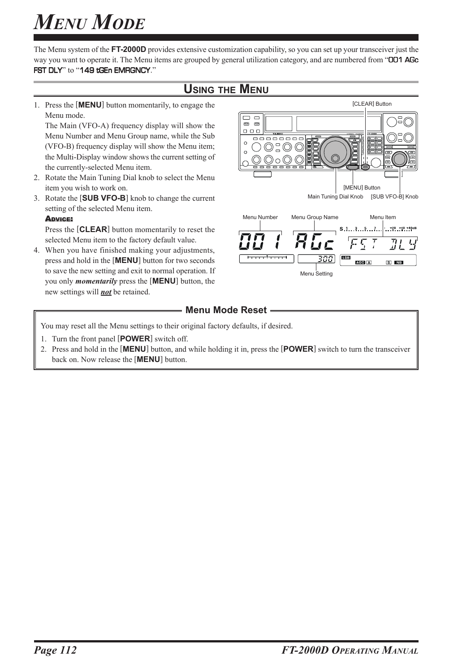The Menu system of the **FT-2000D** provides extensive customization capability, so you can set up your transceiver just the way you want to operate it. The Menu items are grouped by general utilization category, and are numbered from "**OD1 AGc** FST DLY" to "149 tGEn EMRGNCY."

### **USING THE MENU**

1. Press the [**MENU**] button momentarily, to engage the Menu mode.

The Main (VFO-A) frequency display will show the Menu Number and Menu Group name, while the Sub (VFO-B) frequency display will show the Menu item; the Multi-Display window shows the current setting of the currently-selected Menu item.

- 2. Rotate the Main Tuning Dial knob to select the Menu item you wish to work on.
- 3. Rotate the [**SUB VFO-B**] knob to change the current setting of the selected Menu item.

#### ADVICE:

Press the [**CLEAR**] button momentarily to reset the selected Menu item to the factory default value.

4. When you have finished making your adjustments, press and hold in the [**MENU**] button for two seconds to save the new setting and exit to normal operation. If you only *momentarily* press the [**MENU**] button, the new settings will *not* be retained.



#### **Menu Mode Reset -**

You may reset all the Menu settings to their original factory defaults, if desired.

- 1. Turn the front panel [**POWER**] switch off.
- 2. Press and hold in the [**MENU**] button, and while holding it in, press the [**POWER**] switch to turn the transceiver back on. Now release the [**MENU**] button.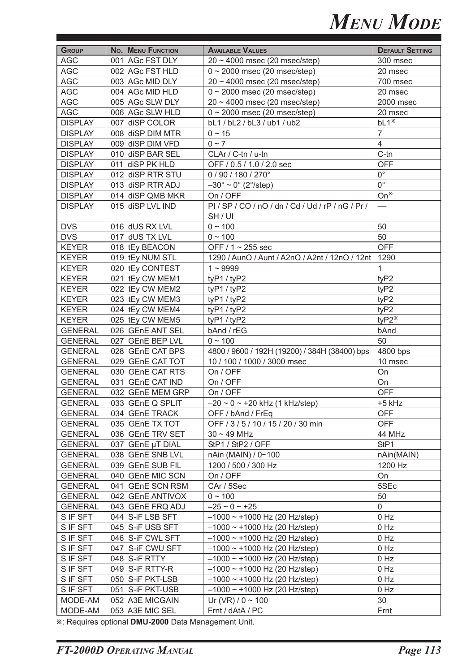| <b>GROUP</b>   | No. MENU FUNCTION | <b>AVAILABLE VALUES</b>                             | <b>DEFAULT SETTING</b> |
|----------------|-------------------|-----------------------------------------------------|------------------------|
| <b>AGC</b>     | 001 AGc FST DLY   | $20 \sim 4000$ msec (20 msec/step)                  | 300 msec               |
| <b>AGC</b>     | 002 AGc FST HLD   | $0 \sim 2000$ msec (20 msec/step)                   | 20 msec                |
| <b>AGC</b>     | 003 AGc MID DLY   | $20 \sim 4000$ msec (20 msec/step)                  | 700 msec               |
| <b>AGC</b>     | 004 AGc MID HLD   | $0 \sim 2000$ msec (20 msec/step)                   | 20 msec                |
| <b>AGC</b>     | 005 AGc SLW DLY   | $20 \sim 4000$ msec (20 msec/step)                  | 2000 msec              |
| <b>AGC</b>     | 006 AGc SLW HLD   | $0 \sim 2000$ msec (20 msec/step)                   | 20 msec                |
| <b>DISPLAY</b> | 007 diSP COLOR    | bL1 / bL2 / bL3 / ub1 / ub2                         | $bL1*$                 |
| <b>DISPLAY</b> | 008 diSP DIM MTR  | $0 \sim 15$                                         | $\overline{7}$         |
| <b>DISPLAY</b> | 009 diSP DIM VFD  | $0 \sim 7$                                          | $\overline{4}$         |
| <b>DISPLAY</b> | 010 diSP BAR SEL  | CLAr / C-tn / u-tn                                  | $C$ -tn                |
| <b>DISPLAY</b> | 011 diSP PK HLD   | OFF / 0.5 / 1.0 / 2.0 sec                           | <b>OFF</b>             |
| <b>DISPLAY</b> | 012 diSP RTR STU  | 0 / 90 / 180 / 270°                                 | $0^{\circ}$            |
| <b>DISPLAY</b> | 013 diSP RTR ADJ  | $-30^{\circ} \sim 0^{\circ}$ (2°/step)              | $\overline{0^{\circ}}$ |
| <b>DISPLAY</b> | 014 diSP QMB MKR  | On / OFF                                            | On <sup>*</sup>        |
| <b>DISPLAY</b> | 015 diSP LVL IND  | $PI / SP / CO / nO / dn / Cd / Ud / rP / nG / Pr /$ |                        |
|                |                   | SH / UI                                             |                        |
| <b>DVS</b>     | 016 dUS RX LVL    | $0 \sim 100$                                        | 50                     |
| <b>DVS</b>     | 017 dUS TX LVL    | $0 \sim 100$                                        | 50                     |
| <b>KEYER</b>   | 018 tEy BEACON    | OFF / 1 ~ 255 sec                                   | <b>OFF</b>             |
| <b>KEYER</b>   | 019 tEy NUM STL   | 1290 / AunO / Aunt / A2nO / A2nt / 12nO / 12nt 1290 |                        |
| <b>KEYER</b>   | 020 tEy CONTEST   | $1 - 9999$                                          | $\mathbf{1}$           |
| <b>KEYER</b>   | 021 tEy CW MEM1   | tyP1 / tyP2                                         | tyP2                   |
| <b>KEYER</b>   | 022 tEy CW MEM2   | tyP1 / tyP2                                         | tyP2                   |
| <b>KEYER</b>   | 023 tEy CW MEM3   | tyP1 / tyP2                                         | tyP2                   |
| <b>KEYER</b>   | 024 tEy CW MEM4   | tyP1 / tyP2                                         | tyP2                   |
| <b>KEYER</b>   | 025 tEy CW MEM5   | tyP1 / tyP2                                         | ty $P2^*$              |
| <b>GENERAL</b> | 026 GEnE ANT SEL  | bAnd / rEG                                          | bAnd                   |
| <b>GENERAL</b> | 027 GEnE BEP LVL  | $0 \sim 100$                                        | 50                     |
| <b>GENERAL</b> | 028 GEnE CAT BPS  | 4800 / 9600 / 192H (19200) / 384H (38400) bps       | 4800 bps               |
| <b>GENERAL</b> | 029 GEnE CAT TOT  | 10 / 100 / 1000 / 3000 msec                         | 10 msec                |
| <b>GENERAL</b> | 030 GEnE CAT RTS  | On / OFF                                            | On                     |
| <b>GENERAL</b> | 031 GEnE CAT IND  | On / OFF                                            | On                     |
| <b>GENERAL</b> | 032 GEnE MEM GRP  | On / OFF                                            | <b>OFF</b>             |
| <b>GENERAL</b> | 033 GEnE Q SPLIT  | $-20 \sim 0 \sim +20$ kHz (1 kHz/step)              | +5 kHz                 |
| <b>GENERAL</b> | 034 GEnE TRACK    | OFF / bAnd / FrEq                                   | <b>OFF</b>             |
| <b>GENERAL</b> | 035 GEnE TX TOT   | OFF / 3 / 5 / 10 / 15 / 20 / 30 min                 | <b>OFF</b>             |
| <b>GENERAL</b> | 036 GEnE TRV SET  | $30 \sim 49$ MHz                                    | 44 MHz                 |
|                | 037 GEnE µT DIAL  |                                                     | StP1                   |
| <b>GENERAL</b> |                   | StP1 / StP2 / OFF                                   |                        |
| <b>GENERAL</b> | 038 GEnE SNB LVL  | nAin (MAIN) / 0~100                                 | nAin(MAIN)             |
| <b>GENERAL</b> | 039 GEnE SUB FIL  | 1200 / 500 / 300 Hz                                 | 1200 Hz                |
| <b>GENERAL</b> | 040 GEnE MIC SCN  | On / OFF                                            | On                     |
| <b>GENERAL</b> | 041 GEnE SCN RSM  | CAr / 5Sec                                          | 5SEc                   |
| <b>GENERAL</b> | 042 GEnE ANTIVOX  | $0 - 100$                                           | 50                     |
| <b>GENERAL</b> | 043 GEnE FRQ ADJ  | $-25 \sim 0 \sim +25$                               | $\mathbf 0$            |
| S IF SFT       | 044 S-iF LSB SFT  | $-1000 \sim +1000$ Hz (20 Hz/step)                  | 0 Hz                   |
| S IF SFT       | 045 S-iF USB SFT  | $-1000 \sim +1000$ Hz (20 Hz/step)                  | 0 Hz                   |
| S IF SFT       | 046 S-iF CWL SFT  | $-1000 \sim +1000$ Hz (20 Hz/step)                  | 0 Hz                   |
| S IF SFT       | 047 S-iF CWU SFT  | $-1000 \sim +1000$ Hz (20 Hz/step)                  | 0 Hz                   |
| S IF SFT       | 048 S-iF RTTY     | $-1000 \sim +1000$ Hz (20 Hz/step)                  | 0 Hz                   |
| S IF SFT       | 049 S-iF RTTY-R   | $-1000 \sim +1000$ Hz (20 Hz/step)                  | 0 Hz                   |
| S IF SFT       | 050 S-iF PKT-LSB  | $-1000 \sim +1000$ Hz (20 Hz/step)                  | 0 Hz                   |
| S IF SFT       | 051 S-iF PKT-USB  | $-1000 \sim +1000$ Hz (20 Hz/step)                  | 0 Hz                   |
| MODE-AM        | 052 A3E MICGAIN   | Ur (VR) / $0 \sim 100$                              | 30                     |
| MODE-AM        | 053 A3E MIC SEL   | Frnt / dAtA / PC                                    | Frnt                   |

 $\overline{\mathbf{x}}$ : Requires optional **DMU-2000** Data Management Unit.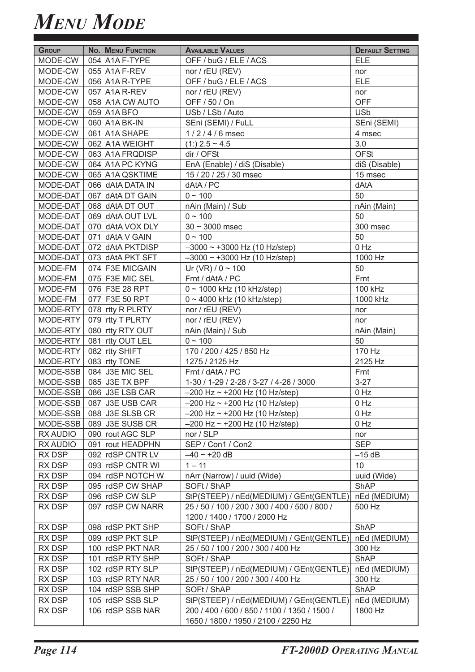| <b>GROUP</b> | <b>No. MENU FUNCTION</b> | <b>AVAILABLE VALUES</b>                       | <b>DEFAULT SETTING</b> |
|--------------|--------------------------|-----------------------------------------------|------------------------|
| MODE-CW      | 054 A1A F-TYPE           | OFF / buG / ELE / ACS                         | <b>ELE</b>             |
| MODE-CW      | 055 A1A F-REV            | nor / rEU (REV)                               | nor                    |
| MODE-CW      | 056 A1A R-TYPE           | OFF / buG / ELE / ACS                         | <b>ELE</b>             |
| MODE-CW      | 057 A1A R-REV            | nor / rEU (REV)                               | nor                    |
| MODE-CW      | 058 A1A CW AUTO          | OFF / 50 / On                                 | <b>OFF</b>             |
| MODE-CW      | 059 A1A BFO              | USb / LSb / Auto                              | <b>USb</b>             |
| MODE-CW      | 060 A1A BK-IN            | SEni (SEMI) / FuLL                            | SEni (SEMI)            |
| MODE-CW      | 061 A1A SHAPE            | 1/2/4/6 msec                                  | 4 msec                 |
| MODE-CW      | 062 A1A WEIGHT           | $(1:)$ 2.5 ~ 4.5                              | 3.0                    |
| MODE-CW      | 063 A1A FRQDISP          | dir / OFSt                                    | <b>OFSt</b>            |
| MODE-CW      | 064 A1A PC KYNG          | EnA (Enable) / diS (Disable)                  | diS (Disable)          |
| MODE-CW      | 065 A1A QSKTIME          | 15 / 20 / 25 / 30 msec                        | 15 msec                |
| MODE-DAT     | 066 dAtA DATA IN         | dAtA / PC                                     | dAtA                   |
| MODE-DAT     | 067 dAtA DT GAIN         | $0 \sim 100$                                  | 50                     |
| MODE-DAT     | 068 dAtA DT OUT          | nAin (Main) / Sub                             | nAin (Main)            |
| MODE-DAT     | 069 dAtA OUT LVL         | $0 - 100$                                     | 50                     |
| MODE-DAT     | 070 dAtA VOX DLY         | $30 \sim 3000$ msec                           | 300 msec               |
| MODE-DAT     | 071 dAtA V GAIN          | $0 \sim 100$                                  | 50                     |
| MODE-DAT     | 072 dAtA PKTDISP         | $-3000 \sim +3000$ Hz (10 Hz/step)            | $0$ Hz                 |
| MODE-DAT     | 073 dAtA PKT SFT         | $-3000 \sim +3000$ Hz (10 Hz/step)            | 1000 Hz                |
| MODE-FM      | 074 F3E MICGAIN          | Ur (VR) / $0 \sim 100$                        | 50                     |
| MODE-FM      | 075 F3E MIC SEL          | Frnt / dAtA / PC                              | Frnt                   |
| MODE-FM      | 076 F3E 28 RPT           | 0~1000 kHz (10 kHz/step)                      | 100 kHz                |
| MODE-FM      | 077 F3E 50 RPT           | 0~4000 kHz (10 kHz/step)                      | 1000 kHz               |
| MODE-RTY     | 078 rtty R PLRTY         | nor / rEU (REV)                               | nor                    |
| MODE-RTY     | 079 rtty T PLRTY         | nor / rEU (REV)                               | nor                    |
| MODE-RTY     | 080 rtty RTY OUT         | nAin (Main) / Sub                             | nAin (Main)            |
| MODE-RTY     | 081 rtty OUT LEL         | $0 - 100$                                     | 50                     |
| MODE-RTY     | 082 rtty SHIFT           | 170 / 200 / 425 / 850 Hz                      | 170 Hz                 |
| MODE-RTY     | 083 rtty TONE            | 1275 / 2125 Hz                                | 2125 Hz                |
| MODE-SSB     | 084 J3E MIC SEL          | Frnt / dAtA / PC                              | Frnt                   |
|              | MODE-SSB 085 J3E TX BPF  | 1-30 / 1-29 / 2-28 / 3-27 / 4-26 / 3000       | $3 - 27$               |
|              | MODE-SSB 086 J3E LSB CAR | $-200$ Hz ~ +200 Hz (10 Hz/step)              | $0$ Hz                 |
|              | MODE-SSB 087 J3E USB CAR | $-200$ Hz ~ +200 Hz (10 Hz/step)              | $0$ Hz                 |
| MODE-SSB     | 088 J3E SLSB CR          | $-200$ Hz ~ +200 Hz (10 Hz/step)              | $0$ Hz                 |
| MODE-SSB     | 089 J3E SUSB CR          | $-200$ Hz ~ +200 Hz (10 Hz/step)              | 0 Hz                   |
| RX AUDIO     | 090 rout AGC SLP         | nor / SLP                                     | nor                    |
| RX AUDIO     | 091 rout HEADPHN         | SEP / Con1 / Con2                             | <b>SEP</b>             |
| RX DSP       | 092 rdSP CNTR LV         | $-40 \sim +20$ dB                             | $-15$ dB               |
| RX DSP       | 093 rdSP CNTR WI         | $1 - 11$                                      | 10                     |
| RX DSP       | 094 rdSP NOTCH W         | nArr (Narrow) / uuid (Wide)                   | uuid (Wide)            |
| RX DSP       | 095 rdSP CW SHAP         | SOFt / ShAP                                   | ShAP                   |
| RX DSP       | 096 rdSP CW SLP          | StP(STEEP) / nEd(MEDIUM) / GEnt(GENTLE)       | nEd (MEDIUM)           |
| RX DSP       | 097 rdSP CW NARR         | 25 / 50 / 100 / 200 / 300 / 400 / 500 / 800 / | 500 Hz                 |
|              |                          | 1200 / 1400 / 1700 / 2000 Hz                  |                        |
| RX DSP       | 098 rdSP PKT SHP         | SOFt / ShAP                                   | <b>ShAP</b>            |
| RX DSP       | 099 rdSP PKT SLP         | StP(STEEP) / nEd(MEDIUM) / GEnt(GENTLE)       | nEd (MEDIUM)           |
| RX DSP       | 100 rdSP PKT NAR         | 25 / 50 / 100 / 200 / 300 / 400 Hz            | 300 Hz                 |
| RX DSP       | 101 rdSP RTY SHP         | SOFt / ShAP                                   | <b>ShAP</b>            |
| RX DSP       | 102 rdSP RTY SLP         | StP(STEEP) / nEd(MEDIUM) / GEnt(GENTLE)       | nEd (MEDIUM)           |
| RX DSP       | 103 rdSP RTY NAR         | 25 / 50 / 100 / 200 / 300 / 400 Hz            | 300 Hz                 |
| RX DSP       | 104 rdSP SSB SHP         | SOFt / ShAP                                   | ShAP                   |
| RX DSP       | 105 rdSP SSB SLP         | StP(STEEP) / nEd(MEDIUM) / GEnt(GENTLE)       | nEd (MEDIUM)           |
| RX DSP       | 106 rdSP SSB NAR         | 200 / 400 / 600 / 850 / 1100 / 1350 / 1500 /  | 1800 Hz                |
|              |                          | 1650 / 1800 / 1950 / 2100 / 2250 Hz           |                        |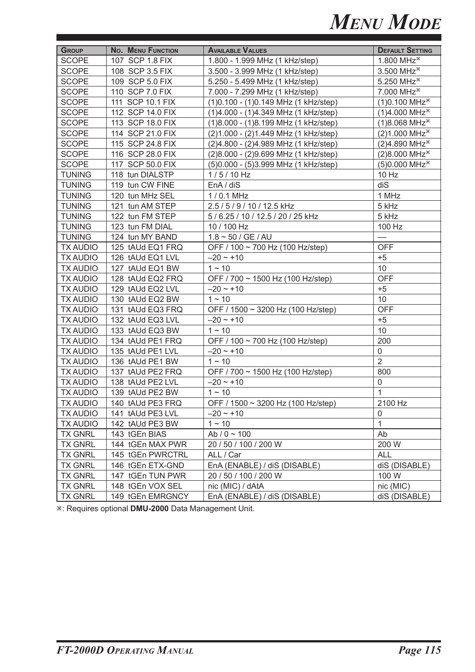| <b>GROUP</b>    | <b>No. MENU FUNCTION</b> | <b>AVAILABLE VALUES</b>                | <b>DEFAULT SETTING</b>      |
|-----------------|--------------------------|----------------------------------------|-----------------------------|
| <b>SCOPE</b>    | 107 SCP 1.8 FIX          | 1.800 - 1.999 MHz (1 kHz/step)         | 1.800 MHz <sup>*</sup>      |
| <b>SCOPE</b>    | 108 SCP 3.5 FIX          | 3.500 - 3.999 MHz (1 kHz/step)         | 3.500 MHz <sup>*</sup>      |
| <b>SCOPE</b>    | 109 SCP 5.0 FIX          | 5.250 - 5.499 MHz (1 kHz/step)         | 5.250 MHz <sup>*</sup>      |
| <b>SCOPE</b>    | 110 SCP 7.0 FIX          | 7.000 - 7.299 MHz (1 kHz/step)         | 7.000 MHz <sup>*</sup>      |
| <b>SCOPE</b>    | 111 SCP 10.1 FIX         | (1) 0.100 - (1) 0.149 MHz (1 kHz/step) | $(1)0.100$ MHz <sup>*</sup> |
| <b>SCOPE</b>    | 112 SCP 14.0 FIX         | (1)4.000 - (1)4.349 MHz (1 kHz/step)   | $(1)4.000$ MHz <sup>*</sup> |
| <b>SCOPE</b>    | 113 SCP 18.0 FIX         | (1)8.000 - (1)8.199 MHz (1 kHz/step)   | $(1)8.068$ MHz <sup>*</sup> |
| <b>SCOPE</b>    | 114 SCP 21.0 FIX         | (2) 1.000 - (2) 1.449 MHz (1 kHz/step) | $(2)1.000$ MHz <sup>*</sup> |
| <b>SCOPE</b>    | 115 SCP 24.8 FIX         | (2) 4.800 - (2) 4.989 MHz (1 kHz/step) | (2)4.890 MHz <sup>*</sup>   |
| <b>SCOPE</b>    | 116 SCP 28.0 FIX         | (2)8.000 - (2)9.699 MHz (1 kHz/step)   | (2)8.000 MHz <sup>*</sup>   |
| <b>SCOPE</b>    | 117 SCP 50.0 FIX         | (5) 0.000 - (5) 3.999 MHz (1 kHz/step) | (5)0.000 MHz <sup>*</sup>   |
| <b>TUNING</b>   | 118 tun DIALSTP          | $1/5/10$ Hz                            | 10 Hz                       |
| <b>TUNING</b>   | 119 tun CW FINE          | EnA / diS                              | diS                         |
| <b>TUNING</b>   | 120 tun MHz SEL          | 1/0.1 MHz                              | 1 MHz                       |
| <b>TUNING</b>   | 121 tun AM STEP          | 2.5 / 5 / 9 / 10 / 12.5 kHz            | 5 kHz                       |
| <b>TUNING</b>   | 122 tun FM STEP          | 5 / 6.25 / 10 / 12.5 / 20 / 25 kHz     | 5 kHz                       |
| <b>TUNING</b>   | 123 tun FM DIAL          | 10 / 100 Hz                            | 100 Hz                      |
| <b>TUNING</b>   | 124 tun MY BAND          | $1.8 \sim 50 / GE / AU$                |                             |
| <b>TX AUDIO</b> | 125 tAUd EQ1 FRQ         | OFF / 100 ~ 700 Hz (100 Hz/step)       | <b>OFF</b>                  |
| <b>TX AUDIO</b> | 126 tAUd EQ1 LVL         | $-20 - 10$                             | $+5$                        |
| <b>TX AUDIO</b> | 127 tAUd EQ1 BW          | $1 - 10$                               | 10                          |
| <b>TX AUDIO</b> | 128 tAUd EQ2 FRQ         | OFF / 700 ~ 1500 Hz (100 Hz/step)      | <b>OFF</b>                  |
| <b>TX AUDIO</b> | 129 tAUd EQ2 LVL         | $-20 \sim +10$                         | $+5$                        |
| <b>TX AUDIO</b> | 130 tAUd EQ2 BW          | $1 - 10$                               | 10                          |
| <b>TX AUDIO</b> | 131 tAUd EQ3 FRQ         | OFF / 1500 ~ 3200 Hz (100 Hz/step)     | <b>OFF</b>                  |
| <b>TX AUDIO</b> | 132 tAUd EQ3 LVL         | $-20 - 10$                             | $+5$                        |
| <b>TX AUDIO</b> | 133 tAUd EQ3 BW          | $1 - 10$                               | 10                          |
| <b>TX AUDIO</b> | 134 tAUd PE1 FRQ         | OFF / 100 ~ 700 Hz (100 Hz/step)       | 200                         |
| <b>TX AUDIO</b> | 135 tAUd PE1 LVL         | $-20 \sim +10$                         | 0                           |
| <b>TX AUDIO</b> | 136 tAUd PE1 BW          | $1 - 10$                               | $\overline{2}$              |
| <b>TX AUDIO</b> | 137 tAUd PE2 FRQ         | OFF / 700 ~ 1500 Hz (100 Hz/step)      | 800                         |
| <b>TX AUDIO</b> | 138 tAUd PE2 LVL         | $-20 - 10$                             | 0                           |
| <b>TX AUDIO</b> | 139 tAUd PE2 BW          | $1 - 10$                               | $\mathbf{1}$                |
| <b>TX AUDIO</b> | 140 tAUd PE3 FRQ         | OFF / 1500 ~ 3200 Hz (100 Hz/step)     | 2100 Hz                     |
| <b>TX AUDIO</b> | 141 tAUd PE3 LVL         | $-20 - 10$                             | 0                           |
| <b>TX AUDIO</b> | 142 tAUd PE3 BW          | $1 - 10$                               | $\mathbf{1}$                |
| <b>TX GNRL</b>  | 143 tGEn BIAS            | Ab / $0 \sim 100$                      | Ab                          |
| <b>TX GNRL</b>  | 144 tGEn MAX PWR         | 20 / 50 / 100 / 200 W                  | 200 W                       |
| <b>TX GNRL</b>  | 145 tGEn PWRCTRL         | ALL / Car                              | <b>ALL</b>                  |
| <b>TX GNRL</b>  | 146 tGEn ETX-GND         | EnA (ENABLE) / diS (DISABLE)           | diS (DISABLE)               |
| <b>TX GNRL</b>  | 147 tGEn TUN PWR         | 20 / 50 / 100 / 200 W                  | 100 W                       |
| <b>TX GNRL</b>  | 148 tGEn VOX SEL         | nic (MIC) / dAtA                       | nic (MIC)                   |
| <b>TX GNRL</b>  | 149 tGEn EMRGNCY         | EnA (ENABLE) / diS (DISABLE)           | diS (DISABLE)               |

Ú: Requires optional **DMU-2000** Data Management Unit.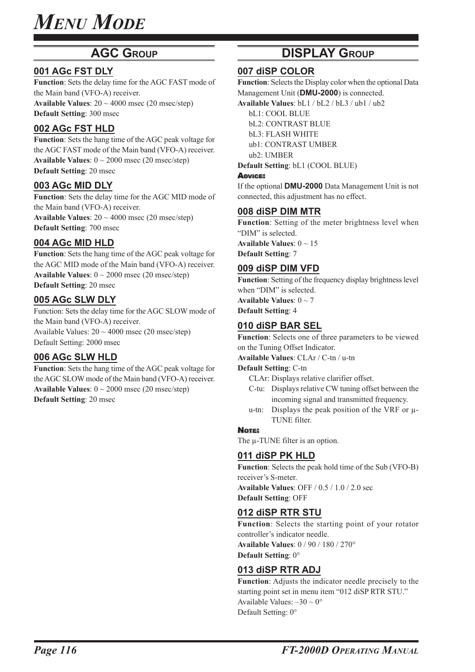### **AGC GROUP**

#### **001 AGc FST DLY**

**Function**: Sets the delay time for the AGC FAST mode of the Main band (VFO-A) receiver. **Available Values**: 20 ~ 4000 msec (20 msec/step) **Default Setting**: 300 msec

#### **002 AGc FST HLD**

**Function**: Sets the hang time of the AGC peak voltage for the AGC FAST mode of the Main band (VFO-A) receiver. **Available Values**:  $0 \sim 2000$  msec (20 msec/step) **Default Setting**: 20 msec

#### **003 AGc MID DLY**

**Function**: Sets the delay time for the AGC MID mode of the Main band (VFO-A) receiver. **Available Values**:  $20 \sim 4000$  msec (20 msec/step) **Default Setting**: 700 msec

#### **004 AGc MID HLD**

**Function**: Sets the hang time of the AGC peak voltage for the AGC MID mode of the Main band (VFO-A) receiver. **Available Values**: 0 ~ 2000 msec (20 msec/step) **Default Setting**: 20 msec

#### **005 AGc SLW DLY**

Function: Sets the delay time for the AGC SLOW mode of the Main band (VFO-A) receiver. Available Values:  $20 \sim 4000$  msec (20 msec/step) Default Setting: 2000 msec

#### **006 AGc SLW HLD**

**Function**: Sets the hang time of the AGC peak voltage for the AGC SLOW mode of the Main band (VFO-A) receiver. **Available Values**:  $0 \sim 2000$  msec (20 msec/step) **Default Setting**: 20 msec

### **DISPLAY GROUP**

#### **007 diSP COLOR**

**Function**: Selects the Display color when the optional Data Management Unit (**DMU-2000**) is connected.

**Available Values**: bL1 / bL2 / bL3 / ub1 / ub2

bL1: COOL BLUE

bL2: CONTRAST BLUE

bL3: FLASH WHITE ub1: CONTRAST UMBER

ub2: UMBER

**Default Setting**: bL1 (COOL BLUE)

#### ADVICE:

If the optional **DMU-2000** Data Management Unit is not connected, this adjustment has no effect.

#### **008 diSP DIM MTR**

**Function**: Setting of the meter brightness level when "DIM" is selected.

**Available Values**: 0 ~ 15 **Default Setting**: 7

#### **009 diSP DIM VFD**

**Function**: Setting of the frequency display brightness level when "DIM" is selected.

**Available Values**: 0 ~ 7 **Default Setting**: 4

#### **010 diSP BAR SEL**

**Function**: Selects one of three parameters to be viewed on the Tuning Offset Indicator.

**Available Values**: CLAr / C-tn / u-tn

#### **Default Setting**: C-tn

CLAr: Displays relative clarifier offset.

- C-tu: Displays relative CW tuning offset between the incoming signal and transmitted frequency.
- u-tn: Displays the peak position of the VRF or μ-TUNE filter.

#### NOTE:

The μ-TUNE filter is an option.

#### **011 diSP PK HLD**

**Function**: Selects the peak hold time of the Sub (VFO-B) receiver's S-meter. **Available Values**: OFF / 0.5 / 1.0 / 2.0 sec

**Default Setting**: OFF

#### **012 diSP RTR STU**

**Function**: Selects the starting point of your rotator controller's indicator needle. **Available Values**: 0 / 90 / 180 / 270° **Default Setting**: 0°

#### **013 diSP RTR ADJ**

**Function**: Adjusts the indicator needle precisely to the starting point set in menu item "012 diSP RTR STU." Available Values:  $-30 \sim 0^{\circ}$ Default Setting: 0°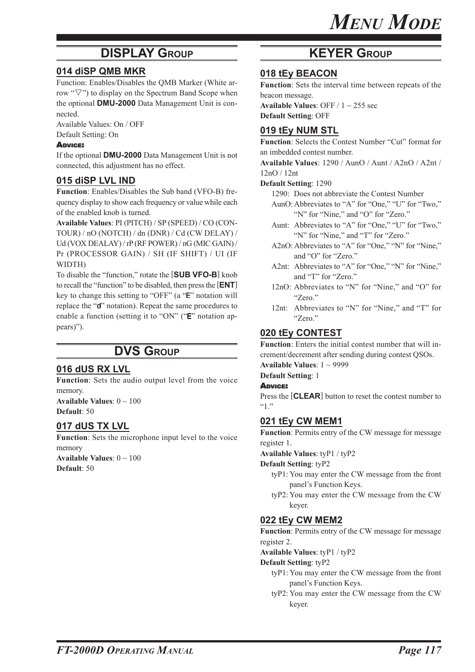### **DISPLAY GROUP KEYER GROUP**

#### **014 diSP QMB MKR**

Function: Enables/Disables the QMB Marker (White arrow " $\nabla$ ") to display on the Spectrum Band Scope when the optional **DMU-2000** Data Management Unit is connected.

Available Values: On / OFF Default Setting: On

#### ADVICE:

If the optional **DMU-2000** Data Management Unit is not connected, this adjustment has no effect.

#### **015 diSP LVL IND**

**Function**: Enables/Disables the Sub band (VFO-B) frequency display to show each frequency or value while each of the enabled knob is turned.

**Available Values**: PI (PITCH) / SP (SPEED) / CO (CON-TOUR) / nO (NOTCH) / dn (DNR) / Cd (CW DELAY) / Ud (VOX DEALAY) / rP (RF POWER) / nG (MIC GAIN) / Pr (PROCESSOR GAIN) / SH (IF SHIFT) / UI (IF WIDTH)

To disable the "function," rotate the [**SUB VFO-B**] knob to recall the "function" to be disabled, then press the [**ENT**] key to change this setting to "OFF" (a "E" notation will replace the "d" notation). Repeat the same procedures to enable a function (setting it to "ON" ("E" notation appears)").

### **DVS GROUP**

#### **016 dUS RX LVL**

**Function**: Sets the audio output level from the voice memory.

**Available Values**: 0 ~ 100 **Default**: 50

#### **017 dUS TX LVL**

**Function**: Sets the microphone input level to the voice memory **Available Values**: 0 ~ 100 **Default**: 50

#### **018 tEy BEACON**

**Function**: Sets the interval time between repeats of the beacon message.

**Available Values**: OFF / 1 ~ 255 sec **Default Setting**: OFF

#### **019 tEy NUM STL**

**Function**: Selects the Contest Number "Cut" format for an imbedded contest number.

**Available Values**: 1290 / AunO / Aunt / A2nO / A2nt /

12nO / 12nt **Default Setting**: 1290

1290: Does not abbreviate the Contest Number

- AunO:Abbreviates to "A" for "One," "U" for "Two," "N" for "Nine," and "O" for "Zero."
- Aunt: Abbreviates to "A" for "One," "U" for "Two," "N" for "Nine," and "T" for "Zero."
- A2nO: Abbreviates to "A" for "One," "N" for "Nine," and "O" for "Zero."
- A2nt: Abbreviates to "A" for "One," "N" for "Nine," and "T" for "Zero."
- 12nO: Abbreviates to "N" for "Nine," and "O" for "Zero."
- 12nt: Abbreviates to "N" for "Nine," and "T" for "Zero."

#### **020 tEy CONTEST**

**Function**: Enters the initial contest number that will increment/decrement after sending during contest QSOs.

**Available Values**: 1 ~ 9999

#### **Default Setting**: 1

ADVICE:

Press the [**CLEAR**] button to reset the contest number to  $~^{4}$   $\cdot$   $\cdot$   $\cdot$   $\cdot$ 

#### **021 tEy CW MEM1**

**Function**: Permits entry of the CW message for message register 1.

**Available Values**: tyP1 / tyP2

**Default Setting**: tyP2

- tyP1: You may enter the CW message from the front panel's Function Keys.
- tyP2: You may enter the CW message from the CW keyer.

#### **022 tEy CW MEM2**

**Function**: Permits entry of the CW message for message register 2.

**Available Values**: tyP1 / tyP2

**Default Setting**: tyP2

- tyP1: You may enter the CW message from the front panel's Function Keys.
- tyP2: You may enter the CW message from the CW keyer.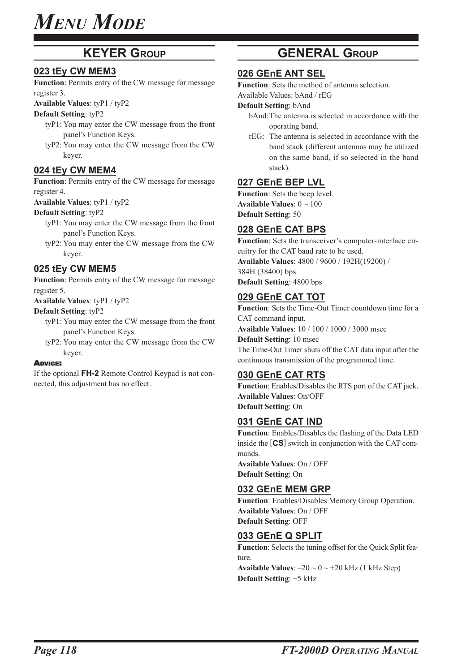### **KEYER GROUP**

#### **023 tEy CW MEM3**

**Function**: Permits entry of the CW message for message register 3.

**Available Values**: tyP1 / tyP2

#### **Default Setting**: tyP2

- tyP1: You may enter the CW message from the front panel's Function Keys.
- tyP2: You may enter the CW message from the CW keyer.

#### **024 tEy CW MEM4**

**Function**: Permits entry of the CW message for message register 4.

**Available Values**: tyP1 / tyP2

#### **Default Setting**: tyP2

- tyP1: You may enter the CW message from the front panel's Function Keys.
- tyP2: You may enter the CW message from the CW keyer.

#### **025 tEy CW MEM5**

**Function**: Permits entry of the CW message for message register 5.

**Available Values**: tyP1 / tyP2

#### **Default Setting**: tyP2

- tyP1: You may enter the CW message from the front panel's Function Keys.
- tyP2: You may enter the CW message from the CW keyer.

#### ADVICE:

If the optional **FH-2** Remote Control Keypad is not connected, this adjustment has no effect.

### **GENERAL GROUP**

#### **026 GEnE ANT SEL**

**Function**: Sets the method of antenna selection.

Available Values: bAnd / rEG

#### **Default Setting**: bAnd

- bAnd:The antenna is selected in accordance with the operating band.
- rEG: The antenna is selected in accordance with the band stack (different antennas may be utilized on the same band, if so selected in the band stack).

#### **027 GEnE BEP LVL**

**Function**: Sets the beep level. **Available Values**: 0 ~ 100 **Default Setting**: 50

#### **028 GEnE CAT BPS**

**Function**: Sets the transceiver's computer-interface circuitry for the CAT baud rate to be used. **Available Values**: 4800 / 9600 / 192H(19200) / 384H (38400) bps **Default Setting**: 4800 bps

#### **029 GEnE CAT TOT**

**Function**: Sets the Time-Out Timer countdown time for a CAT command input. **Available Values**: 10 / 100 / 1000 / 3000 msec **Default Setting**: 10 msec The Time-Out Timer shuts off the CAT data input after the continuous transmission of the programmed time.

#### **030 GEnE CAT RTS**

**Function**: Enables/Disables the RTS port of the CAT jack. **Available Values**: On/OFF **Default Setting**: On

#### **031 GEnE CAT IND**

**Function**: Enables/Disables the flashing of the Data LED inside the [**CS**] switch in conjunction with the CAT commands. **Available Values**: On / OFF

**Default Setting**: On

#### **032 GEnE MEM GRP**

**Function**: Enables/Disables Memory Group Operation. **Available Values**: On / OFF **Default Setting**: OFF

#### **033 GEnE Q SPLIT**

**Function**: Selects the tuning offset for the Quick Split feature.

**Available Values:**  $-20 \sim 0 \sim +20$  kHz (1 kHz Step) **Default Setting**: +5 kHz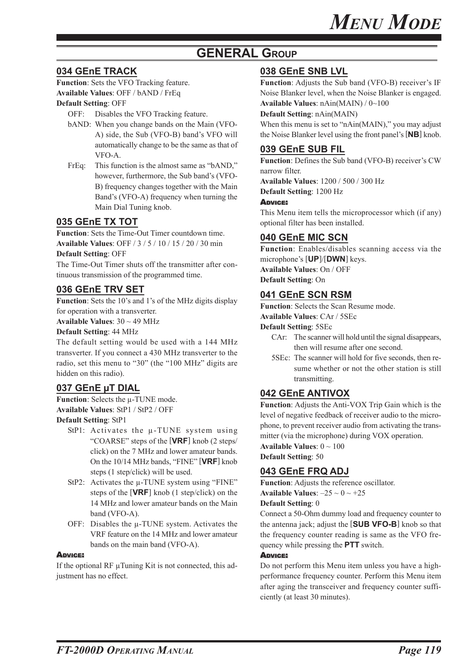### **GENERAL GROUP**

### **034 GEnE TRACK**

**Function**: Sets the VFO Tracking feature. **Available Values**: OFF / bAND / FrEq

#### **Default Setting**: OFF

OFF: Disables the VFO Tracking feature.

- bAND: When you change bands on the Main (VFO-A) side, the Sub (VFO-B) band's VFO will automatically change to be the same as that of VFO-A.
- FrEq: This function is the almost same as "bAND," however, furthermore, the Sub band's (VFO-B) frequency changes together with the Main Band's (VFO-A) frequency when turning the Main Dial Tuning knob.

#### **035 GEnE TX TOT**

**Function**: Sets the Time-Out Timer countdown time. **Available Values**: OFF / 3 / 5 / 10 / 15 / 20 / 30 min **Default Setting**: OFF

The Time-Out Timer shuts off the transmitter after continuous transmission of the programmed time.

#### **036 GEnE TRV SET**

**Function**: Sets the 10's and 1's of the MHz digits display for operation with a transverter.

**Available Values**: 30 ~ 49 MHz

**Default Setting**: 44 MHz

The default setting would be used with a 144 MHz transverter. If you connect a 430 MHz transverter to the radio, set this menu to "30" (the "100 MHz" digits are hidden on this radio).

#### **037 GEnE μT DIAL**

**Function**: Selects the μ-TUNE mode. **Available Values**: StP1 / StP2 / OFF

**Default Setting**: StP1

- StP1: Activates the μ-TUNE system using "COARSE" steps of the [**VRF**] knob (2 steps/ click) on the 7 MHz and lower amateur bands. On the 10/14 MHz bands, "FINE" [**VRF**] knob steps (1 step/click) will be used.
- StP2: Activates the μ-TUNE system using "FINE" steps of the [**VRF**] knob (1 step/click) on the 14 MHz and lower amateur bands on the Main band (VFO-A).
- OFF: Disables the μ-TUNE system. Activates the VRF feature on the 14 MHz and lower amateur bands on the main band (VFO-A).

#### **ADVICE:**

If the optional RF μTuning Kit is not connected, this adjustment has no effect.

#### **038 GEnE SNB LVL**

**Function**: Adjusts the Sub band (VFO-B) receiver's IF Noise Blanker level, when the Noise Blanker is engaged. **Available Values**: nAin(MAIN) / 0~100

**Default Setting**: nAin(MAIN)

When this menu is set to "nAin(MAIN)," you may adjust the Noise Blanker level using the front panel's [**NB**] knob.

#### **039 GEnE SUB FIL**

**Function**: Defines the Sub band (VFO-B) receiver's CW narrow filter.

**Available Values**: 1200 / 500 / 300 Hz **Default Setting**: 1200 Hz

#### ADVICE:

This Menu item tells the microprocessor which (if any) optional filter has been installed.

#### **040 GEnE MIC SCN**

**Function**: Enables/disables scanning access via the microphone's [**UP**]/[**DWN**] keys. **Available Values**: On / OFF **Default Setting**: On

#### **041 GEnE SCN RSM**

**Function**: Selects the Scan Resume mode.

**Available Values**: CAr / 5SEc

**Default Setting**: 5SEc

- CAr: The scanner will hold until the signal disappears, then will resume after one second.
- 5SEc: The scanner will hold for five seconds, then resume whether or not the other station is still transmitting.

#### **042 GEnE ANTIVOX**

**Function**: Adjusts the Anti-VOX Trip Gain which is the level of negative feedback of receiver audio to the microphone, to prevent receiver audio from activating the transmitter (via the microphone) during VOX operation.

**Available Values**: 0 ~ 100

**Default Setting**: 50

#### **043 GEnE FRQ ADJ**

**Function**: Adjusts the reference oscillator. **Available Values:**  $-25 \sim 0 \sim +25$ 

#### **Default Setting**: 0

Connect a 50-Ohm dummy load and frequency counter to the antenna jack; adjust the [**SUB VFO-B**] knob so that the frequency counter reading is same as the VFO frequency while pressing the **PTT** switch.

#### ADVICE:

Do not perform this Menu item unless you have a highperformance frequency counter. Perform this Menu item after aging the transceiver and frequency counter sufficiently (at least 30 minutes).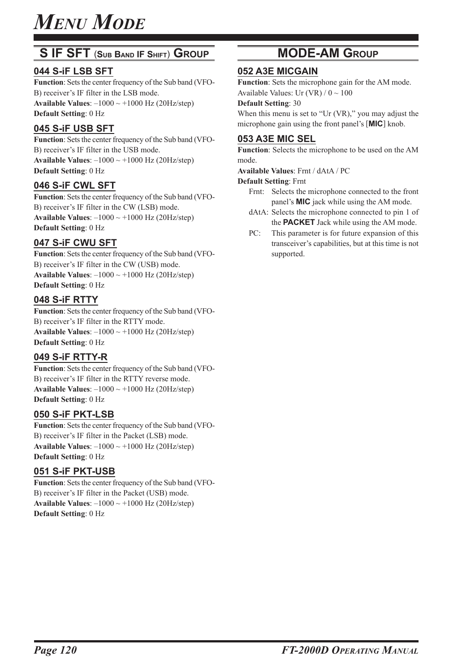### **S IF SFT** (**SUB BAND IF SHIFT**) **GROUP**

#### **044 S-iF LSB SFT**

**Function**: Sets the center frequency of the Sub band (VFO-B) receiver's IF filter in the LSB mode. **Available Values**: –1000 ~ +1000 Hz (20Hz/step) **Default Setting**: 0 Hz

#### **045 S-iF USB SFT**

**Function**: Sets the center frequency of the Sub band (VFO-B) receiver's IF filter in the USB mode. **Available Values:**  $-1000 \sim +1000$  Hz (20Hz/step) **Default Setting**: 0 Hz

#### **046 S-iF CWL SFT**

**Function**: Sets the center frequency of the Sub band (VFO-B) receiver's IF filter in the CW (LSB) mode. **Available Values:**  $-1000 \sim +1000$  Hz (20Hz/step) **Default Setting**: 0 Hz

#### **047 S-iF CWU SFT**

**Function**: Sets the center frequency of the Sub band (VFO-B) receiver's IF filter in the CW (USB) mode. **Available Values:**  $-1000 \sim +1000$  Hz (20Hz/step) **Default Setting**: 0 Hz

#### **048 S-iF RTTY**

**Function**: Sets the center frequency of the Sub band (VFO-B) receiver's IF filter in the RTTY mode. **Available Values:**  $-1000 \sim +1000$  Hz (20Hz/step) **Default Setting**: 0 Hz

#### **049 S-iF RTTY-R**

**Function**: Sets the center frequency of the Sub band (VFO-B) receiver's IF filter in the RTTY reverse mode. **Available Values:**  $-1000 \sim +1000$  Hz (20Hz/step) **Default Setting**: 0 Hz

#### **050 S-iF PKT-LSB**

**Function**: Sets the center frequency of the Sub band (VFO-B) receiver's IF filter in the Packet (LSB) mode. **Available Values:**  $-1000 \sim +1000$  Hz (20Hz/step) **Default Setting**: 0 Hz

#### **051 S-iF PKT-USB**

**Function**: Sets the center frequency of the Sub band (VFO-B) receiver's IF filter in the Packet (USB) mode. **Available Values:**  $-1000 \sim +1000$  Hz (20Hz/step) **Default Setting**: 0 Hz

### **MODE-AM GROUP**

#### **052 A3E MICGAIN**

**Function**: Sets the microphone gain for the AM mode. Available Values: Ur (VR)  $/ 0 \sim 100$ 

#### **Default Setting**: 30

When this menu is set to "Ur (VR)," you may adjust the microphone gain using the front panel's [**MIC**] knob.

#### **053 A3E MIC SEL**

**Function**: Selects the microphone to be used on the AM mode.

**Available Values**: Frnt / dAtA / PC

**Default Setting**: Frnt

- Frnt: Selects the microphone connected to the front panel's **MIC** jack while using the AM mode.
- dAtA: Selects the microphone connected to pin 1 of the **PACKET** Jack while using the AM mode.
- PC: This parameter is for future expansion of this transceiver's capabilities, but at this time is not supported.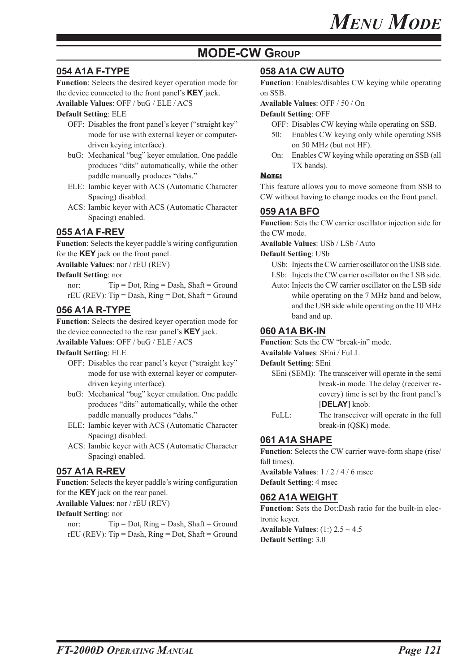### **MODE-CW GROUP**

### **054 A1A F-TYPE**

**Function**: Selects the desired keyer operation mode for the device connected to the front panel's **KEY** jack.

#### **Available Values**: OFF / buG / ELE / ACS

**Default Setting**: ELE

- OFF: Disables the front panel's keyer ("straight key" mode for use with external keyer or computerdriven keying interface).
- buG: Mechanical "bug" keyer emulation. One paddle produces "dits" automatically, while the other paddle manually produces "dahs."
- ELE: Iambic keyer with ACS (Automatic Character Spacing) disabled.
- ACS: Iambic keyer with ACS (Automatic Character Spacing) enabled.

#### **055 A1A F-REV**

**Function**: Selects the keyer paddle's wiring configuration for the **KEY** jack on the front panel.

**Available Values**: nor / rEU (REV)

#### **Default Setting**: nor

nor:  $Tip = Dot$ ,  $Ring = Dash$ ,  $Shaft = Ground$  $rEU$  (REV): Tip = Dash, Ring = Dot, Shaft = Ground

#### **056 A1A R-TYPE**

**Function**: Selects the desired keyer operation mode for the device connected to the rear panel's **KEY** jack.

**Available Values**: OFF / buG / ELE / ACS

#### **Default Setting**: ELE

- OFF: Disables the rear panel's keyer ("straight key" mode for use with external keyer or computerdriven keying interface).
- buG: Mechanical "bug" keyer emulation. One paddle produces "dits" automatically, while the other paddle manually produces "dahs."
- ELE: Iambic keyer with ACS (Automatic Character Spacing) disabled.
- ACS: Iambic keyer with ACS (Automatic Character Spacing) enabled.

#### **057 A1A R-REV**

**Function**: Selects the keyer paddle's wiring configuration for the **KEY** jack on the rear panel.

#### **Available Values**: nor / rEU (REV)

#### **Default Setting**: nor

nor:  $Tip = Dot$ ,  $Ring = Dash$ ,  $Shaft = Ground$  $rEU$  (REV): Tip = Dash, Ring = Dot, Shaft = Ground

#### **058 A1A CW AUTO**

**Function**: Enables/disables CW keying while operating on SSB.

**Available Values**: OFF / 50 / On

#### **Default Setting**: OFF

- OFF: Disables CW keying while operating on SSB.
- 50: Enables CW keying only while operating SSB on 50 MHz (but not HF).
- On: Enables CW keying while operating on SSB (all TX bands).

#### NOTE:

This feature allows you to move someone from SSB to CW without having to change modes on the front panel.

#### **059 A1A BFO**

**Function**: Sets the CW carrier oscillator injection side for the CW mode.

**Available Values**: USb / LSb / Auto

#### **Default Setting**: USb

- USb: Injects the CW carrier oscillator on the USB side. LSb: Injects the CW carrier oscillator on the LSB side.
- Auto: Injects the CW carrier oscillator on the LSB side while operating on the 7 MHz band and below, and the USB side while operating on the 10 MHz band and up.

#### **060 A1A BK-IN**

**Function**: Sets the CW "break-in" mode.

#### **Available Values**: SEni / FuLL

#### **Default Setting**: SEni

- SEni (SEMI): The transceiver will operate in the semi break-in mode. The delay (receiver recovery) time is set by the front panel's [**DELAY**] knob.
- FuLL: The transceiver will operate in the full break-in (QSK) mode.

#### **061 A1A SHAPE**

Function: Selects the CW carrier wave-form shape (rise/ fall times).

**Available Values**: 1 / 2 / 4 / 6 msec

**Default Setting**: 4 msec

#### **062 A1A WEIGHT**

**Function**: Sets the Dot:Dash ratio for the built-in electronic keyer. **Available Values**: (1:) 2.5 ~ 4.5

**Default Setting**: 3.0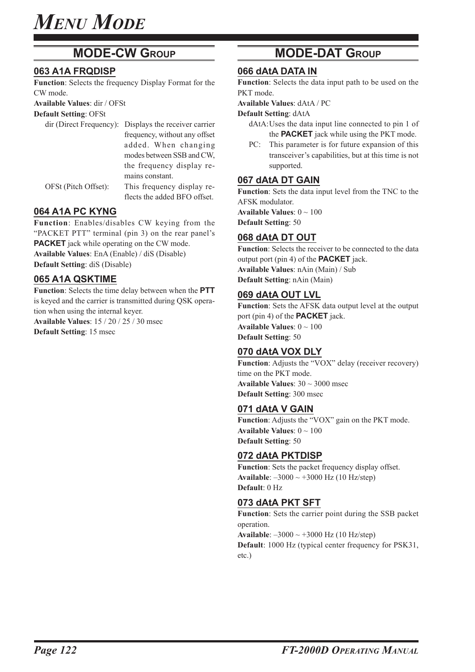### **MODE-CW GROUP**

#### **063 A1A FRQDISP**

**Function**: Selects the frequency Display Format for the CW mode.

**Available Values**: dir / OFSt

**Default Setting**: OFSt

|                      | dir (Direct Frequency): Displays the receiver carrier |
|----------------------|-------------------------------------------------------|
|                      | frequency, without any offset                         |
|                      | added. When changing                                  |
|                      | modes between SSB and CW,                             |
|                      | the frequency display re-                             |
|                      | mains constant.                                       |
| OFSt (Pitch Offset): | This frequency display re-                            |
|                      | flects the added BFO offset.                          |

#### **064 A1A PC KYNG**

**Function**: Enables/disables CW keying from the "PACKET PTT" terminal (pin 3) on the rear panel's **PACKET** jack while operating on the CW mode. **Available Values**: EnA (Enable) / diS (Disable) **Default Setting**: diS (Disable)

#### **065 A1A QSKTIME**

**Function**: Selects the time delay between when the **PTT** is keyed and the carrier is transmitted during QSK operation when using the internal keyer.

**Available Values**: 15 / 20 / 25 / 30 msec **Default Setting**: 15 msec

### **MODE-DAT GROUP**

#### **066 dAtA DATA IN**

**Function**: Selects the data input path to be used on the PKT mode.

**Available Values**: dAtA / PC

**Default Setting**: dAtA

- dAtA:Uses the data input line connected to pin 1 of the **PACKET** jack while using the PKT mode.
- PC: This parameter is for future expansion of this transceiver's capabilities, but at this time is not supported.

#### **067 dAtA DT GAIN**

**Function**: Sets the data input level from the TNC to the AFSK modulator.

**Available Values**: 0 ~ 100 **Default Setting**: 50

#### **068 dAtA DT OUT**

**Function**: Selects the receiver to be connected to the data output port (pin 4) of the **PACKET** jack. **Available Values**: nAin (Main) / Sub **Default Setting**: nAin (Main)

#### **069 dAtA OUT LVL**

**Function**: Sets the AFSK data output level at the output port (pin 4) of the **PACKET** jack. **Available Values**: 0 ~ 100 **Default Setting**: 50

#### **070 dAtA VOX DLY**

Function: Adjusts the "VOX" delay (receiver recovery) time on the PKT mode. **Available Values**: 30 ~ 3000 msec **Default Setting**: 300 msec

#### **071 dAtA V GAIN**

**Function**: Adjusts the "VOX" gain on the PKT mode. **Available Values**: 0 ~ 100 **Default Setting**: 50

#### **072 dAtA PKTDISP**

Function: Sets the packet frequency display offset. **Available**: –3000 ~ +3000 Hz (10 Hz/step) **Default**: 0 Hz

#### **073 dAtA PKT SFT**

**Function**: Sets the carrier point during the SSB packet operation. **Available**: –3000 ~ +3000 Hz (10 Hz/step)

**Default**: 1000 Hz (typical center frequency for PSK31, etc.)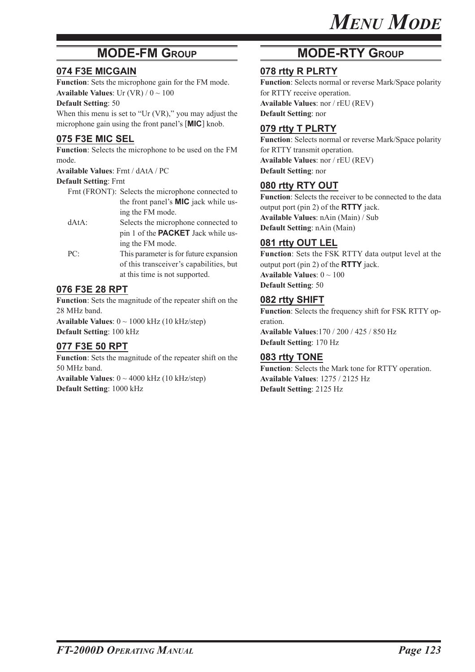### **MODE-FM GROUP**

#### **074 F3E MICGAIN**

**Function**: Sets the microphone gain for the FM mode. **Available Values**: Ur  $(VR) / 0 \sim 100$ 

#### **Default Setting**: 50

When this menu is set to "Ur (VR)," you may adjust the microphone gain using the front panel's [**MIC**] knob.

#### **075 F3E MIC SEL**

**Function**: Selects the microphone to be used on the FM mode.

**Available Values**: Frnt / dAtA / PC

#### **Default Setting**: Frnt

- Frnt (FRONT): Selects the microphone connected to the front panel's **MIC** jack while using the FM mode.
- dAtA: Selects the microphone connected to pin 1 of the **PACKET** Jack while using the FM mode.
- PC: This parameter is for future expansion of this transceiver's capabilities, but at this time is not supported.

#### **076 F3E 28 RPT**

**Function**: Sets the magnitude of the repeater shift on the 28 MHz band. **Available Values**: 0 ~ 1000 kHz (10 kHz/step)

**Default Setting**: 100 kHz

#### **077 F3E 50 RPT**

**Function**: Sets the magnitude of the repeater shift on the 50 MHz band. **Available Values**: 0 ~ 4000 kHz (10 kHz/step) **Default Setting**: 1000 kHz

### **MODE-RTY GROUP**

#### **078 rtty R PLRTY**

**Function**: Selects normal or reverse Mark/Space polarity for RTTY receive operation. **Available Values**: nor / rEU (REV) **Default Setting**: nor

#### **079 rtty T PLRTY**

**Function**: Selects normal or reverse Mark/Space polarity for RTTY transmit operation. **Available Values**: nor / rEU (REV) **Default Setting**: nor

#### **080 rtty RTY OUT**

**Function**: Selects the receiver to be connected to the data output port (pin 2) of the **RTTY** jack. **Available Values**: nAin (Main) / Sub **Default Setting**: nAin (Main)

#### **081 rtty OUT LEL**

**Function**: Sets the FSK RTTY data output level at the output port (pin 2) of the **RTTY** jack. **Available Values**: 0 ~ 100 **Default Setting**: 50

#### **082 rtty SHIFT**

**Function**: Selects the frequency shift for FSK RTTY operation.

**Available Values**:170 / 200 / 425 / 850 Hz **Default Setting**: 170 Hz

#### **083 rtty TONE**

**Function**: Selects the Mark tone for RTTY operation. **Available Values**: 1275 / 2125 Hz **Default Setting**: 2125 Hz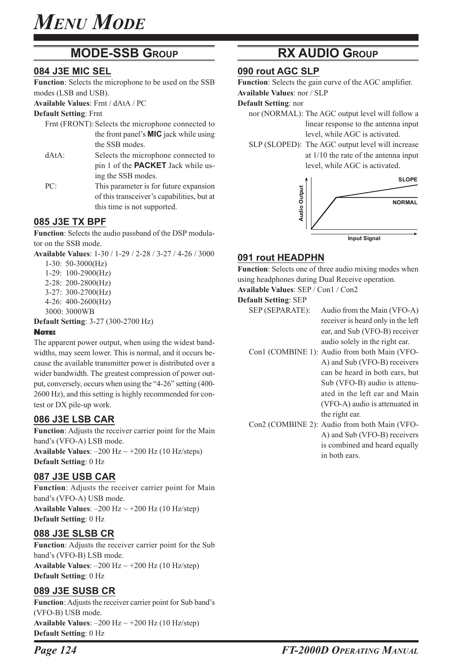### **MODE-SSB GROUP**

#### **084 J3E MIC SEL**

**Function**: Selects the microphone to be used on the SSB modes (LSB and USB).

**Available Values**: Frnt / dAtA / PC

**Default Setting**: Frnt

- Frnt (FRONT): Selects the microphone connected to the front panel's **MIC** jack while using the SSB modes.
- dAtA: Selects the microphone connected to pin 1 of the **PACKET** Jack while using the SSB modes.
- PC: This parameter is for future expansion of this transceiver's capabilities, but at this time is not supported.

#### **085 J3E TX BPF**

**Function**: Selects the audio passband of the DSP modulator on the SSB mode.

**Available Values**: 1-30 / 1-29 / 2-28 / 3-27 / 4-26 / 3000

- 1-30: 50-3000(Hz)
- 1-29: 100-2900(Hz)
- 2-28: 200-2800(Hz)
- 3-27: 300-2700(Hz)
- 4-26: 400-2600(Hz)
- 3000: 3000WB
- **Default Setting**: 3-27 (300-2700 Hz)

#### NOTE:

The apparent power output, when using the widest bandwidths, may seem lower. This is normal, and it occurs because the available transmitter power is distributed over a wider bandwidth. The greatest compression of power output, conversely, occurs when using the "4-26" setting (400- 2600 Hz), and this setting is highly recommended for contest or DX pile-up work.

#### **086 J3E LSB CAR**

**Function**: Adjusts the receiver carrier point for the Main band's (VFO-A) LSB mode.

**Available Values:**  $-200$  Hz  $\sim$   $+200$  Hz (10 Hz/steps) **Default Setting**: 0 Hz

#### **087 J3E USB CAR**

**Function**: Adjusts the receiver carrier point for Main band's (VFO-A) USB mode. **Available Values:**  $-200$  Hz  $\sim$   $+200$  Hz (10 Hz/step) **Default Setting**: 0 Hz

#### **088 J3E SLSB CR**

**Function**: Adjusts the receiver carrier point for the Sub band's (VFO-B) LSB mode. **Available Values:**  $-200$  Hz  $\sim$   $+200$  Hz (10 Hz/step) **Default Setting**: 0 Hz

#### **089 J3E SUSB CR**

**Function**: Adjusts the receiver carrier point for Sub band's (VFO-B) USB mode. **Available Values:**  $-200$  Hz  $\sim$   $+200$  Hz (10 Hz/step) **Default Setting**: 0 Hz

### **RX AUDIO GROUP**

#### **090 rout AGC SLP**

**Function**: Selects the gain curve of the AGC amplifier. **Available Values**: nor / SLP

**Default Setting**: nor

- - nor (NORMAL): The AGC output level will follow a linear response to the antenna input level, while AGC is activated.
	- SLP (SLOPED): The AGC output level will increase at 1/10 the rate of the antenna input level, while AGC is activated.



#### **091 rout HEADPHN**

**Function**: Selects one of three audio mixing modes when using headphones during Dual Receive operation. **Available Values**: SEP / Con1 / Con2

#### **Default Setting**: SEP

- SEP (SEPARATE): Audio from the Main (VFO-A) receiver is heard only in the left ear, and Sub (VFO-B) receiver audio solely in the right ear.
- Con1 (COMBINE 1): Audio from both Main (VFO-A) and Sub (VFO-B) receivers can be heard in both ears, but Sub (VFO-B) audio is attenuated in the left ear and Main (VFO-A) audio is attenuated in the right ear.
- Con2 (COMBINE 2): Audio from both Main (VFO-A) and Sub (VFO-B) receivers is combined and heard equally in both ears.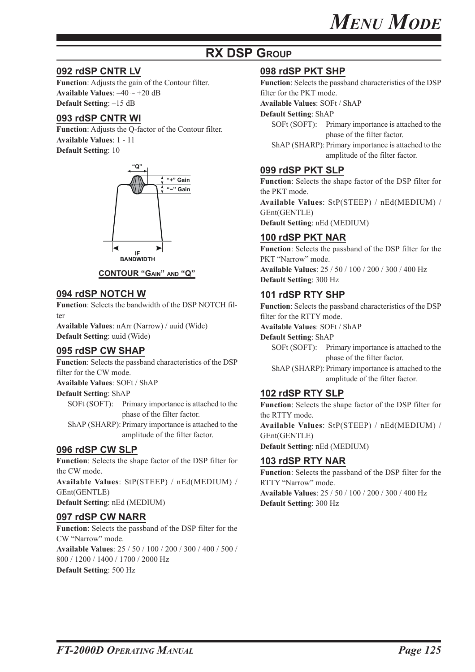### **RX DSP GROUP**

#### **092 rdSP CNTR LV**

**Function**: Adjusts the gain of the Contour filter. **Available Values:**  $-40 \sim +20$  dB **Default Setting**: –15 dB

#### **093 rdSP CNTR WI**

**Function**: Adjusts the Q-factor of the Contour filter. **Available Values**: 1 - 11 **Default Setting**: 10



#### **CONTOUR "GAIN" AND "Q"**

#### **094 rdSP NOTCH W**

**Function**: Selects the bandwidth of the DSP NOTCH filter

**Available Values**: nArr (Narrow) / uuid (Wide) **Default Setting**: uuid (Wide)

#### **095 rdSP CW SHAP**

**Function**: Selects the passband characteristics of the DSP filter for the CW mode. **Available Values**: SOFt / ShAP

**Default Setting**: ShAP

SOFt (SOFT): Primary importance is attached to the phase of the filter factor.

ShAP (SHARP): Primary importance is attached to the amplitude of the filter factor.

#### **096 rdSP CW SLP**

**Function**: Selects the shape factor of the DSP filter for the CW mode. **Available Values**: StP(STEEP) / nEd(MEDIUM) / GEnt(GENTLE) **Default Setting**: nEd (MEDIUM)

#### **097 rdSP CW NARR**

**Function**: Selects the passband of the DSP filter for the CW "Narrow" mode. **Available Values**: 25 / 50 / 100 / 200 / 300 / 400 / 500 / 800 / 1200 / 1400 / 1700 / 2000 Hz **Default Setting**: 500 Hz

#### **098 rdSP PKT SHP**

**Function**: Selects the passband characteristics of the DSP filter for the PKT mode.

**Available Values**: SOFt / ShAP

#### **Default Setting**: ShAP

SOFt (SOFT): Primary importance is attached to the phase of the filter factor.

ShAP (SHARP): Primary importance is attached to the amplitude of the filter factor.

#### **099 rdSP PKT SLP**

**Function**: Selects the shape factor of the DSP filter for the PKT mode.

**Available Values**: StP(STEEP) / nEd(MEDIUM) / GEnt(GENTLE)

**Default Setting**: nEd (MEDIUM)

#### **100 rdSP PKT NAR**

**Function**: Selects the passband of the DSP filter for the PKT "Narrow" mode. **Available Values**: 25 / 50 / 100 / 200 / 300 / 400 Hz **Default Setting**: 300 Hz

#### **101 rdSP RTY SHP**

**Function**: Selects the passband characteristics of the DSP filter for the RTTY mode.

**Available Values**: SOFt / ShAP

**Default Setting**: ShAP

SOFt (SOFT): Primary importance is attached to the phase of the filter factor.

ShAP (SHARP): Primary importance is attached to the amplitude of the filter factor.

#### **102 rdSP RTY SLP**

**Function**: Selects the shape factor of the DSP filter for the RTTY mode.

**Available Values**: StP(STEEP) / nEd(MEDIUM) / GEnt(GENTLE)

**Default Setting**: nEd (MEDIUM)

#### **103 rdSP RTY NAR**

**Function**: Selects the passband of the DSP filter for the RTTY "Narrow" mode. **Available Values**: 25 / 50 / 100 / 200 / 300 / 400 Hz **Default Setting**: 300 Hz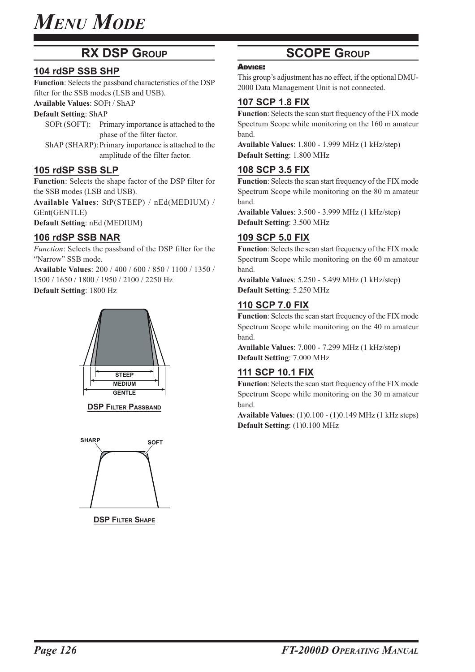### **RX DSP GROUP**

#### **104 rdSP SSB SHP**

**Function**: Selects the passband characteristics of the DSP filter for the SSB modes (LSB and USB).

#### **Available Values**: SOFt / ShAP

**Default Setting**: ShAP

- SOFt (SOFT): Primary importance is attached to the phase of the filter factor.
- ShAP (SHARP): Primary importance is attached to the amplitude of the filter factor.

#### **105 rdSP SSB SLP**

**Function**: Selects the shape factor of the DSP filter for the SSB modes (LSB and USB).

**Available Values**: StP(STEEP) / nEd(MEDIUM) / GEnt(GENTLE)

**Default Setting**: nEd (MEDIUM)

#### **106 rdSP SSB NAR**

*Function*: Selects the passband of the DSP filter for the "Narrow" SSB mode.

**Available Values**: 200 / 400 / 600 / 850 / 1100 / 1350 / 1500 / 1650 / 1800 / 1950 / 2100 / 2250 Hz

**Default Setting**: 1800 Hz



**DSP FILTER PASSBAND** 



**DSP FILTER SHAPE** 

### **SCOPE GROUP**

#### ADVICE:

This group's adjustment has no effect, if the optional DMU-2000 Data Management Unit is not connected.

#### **107 SCP 1.8 FIX**

**Function**: Selects the scan start frequency of the FIX mode Spectrum Scope while monitoring on the 160 m amateur band.

**Available Values**: 1.800 - 1.999 MHz (1 kHz/step) **Default Setting**: 1.800 MHz

#### **108 SCP 3.5 FIX**

**Function**: Selects the scan start frequency of the FIX mode Spectrum Scope while monitoring on the 80 m amateur band.

**Available Values**: 3.500 - 3.999 MHz (1 kHz/step) **Default Setting**: 3.500 MHz

#### **109 SCP 5.0 FIX**

**Function**: Selects the scan start frequency of the FIX mode Spectrum Scope while monitoring on the 60 m amateur band.

**Available Values**: 5.250 - 5.499 MHz (1 kHz/step) **Default Setting**: 5.250 MHz

#### **110 SCP 7.0 FIX**

**Function**: Selects the scan start frequency of the FIX mode Spectrum Scope while monitoring on the 40 m amateur band.

**Available Values**: 7.000 - 7.299 MHz (1 kHz/step) **Default Setting**: 7.000 MHz

#### **111 SCP 10.1 FIX**

**Function**: Selects the scan start frequency of the FIX mode Spectrum Scope while monitoring on the 30 m amateur band.

**Available Values**: (1)0.100 - (1)0.149 MHz (1 kHz steps) **Default Setting**: (1)0.100 MHz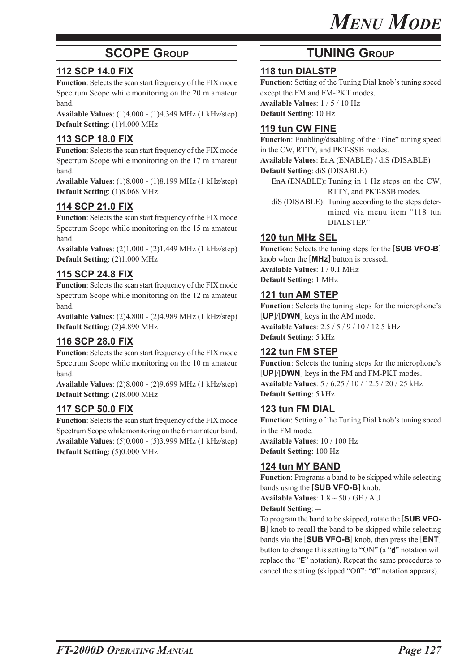### **SCOPE GROUP**

#### **112 SCP 14.0 FIX**

**Function**: Selects the scan start frequency of the FIX mode Spectrum Scope while monitoring on the 20 m amateur band.

**Available Values**: (1)4.000 - (1)4.349 MHz (1 kHz/step) **Default Setting**: (1)4.000 MHz

#### **113 SCP 18.0 FIX**

**Function**: Selects the scan start frequency of the FIX mode Spectrum Scope while monitoring on the 17 m amateur band.

**Available Values**: (1)8.000 - (1)8.199 MHz (1 kHz/step) **Default Setting**: (1)8.068 MHz

#### **114 SCP 21.0 FIX**

**Function**: Selects the scan start frequency of the FIX mode Spectrum Scope while monitoring on the 15 m amateur band.

**Available Values**: (2)1.000 - (2)1.449 MHz (1 kHz/step) **Default Setting**: (2)1.000 MHz

#### **115 SCP 24.8 FIX**

**Function**: Selects the scan start frequency of the FIX mode Spectrum Scope while monitoring on the 12 m amateur band.

**Available Values**: (2)4.800 - (2)4.989 MHz (1 kHz/step) **Default Setting**: (2)4.890 MHz

#### **116 SCP 28.0 FIX**

**Function**: Selects the scan start frequency of the FIX mode Spectrum Scope while monitoring on the 10 m amateur band.

**Available Values**: (2)8.000 - (2)9.699 MHz (1 kHz/step) **Default Setting**: (2)8.000 MHz

#### **117 SCP 50.0 FIX**

**Function**: Selects the scan start frequency of the FIX mode Spectrum Scope while monitoring on the 6 m amateur band. **Available Values**: (5)0.000 - (5)3.999 MHz (1 kHz/step) **Default Setting**: (5)0.000 MHz

### **TUNING GROUP**

#### **118 tun DIALSTP**

**Function**: Setting of the Tuning Dial knob's tuning speed except the FM and FM-PKT modes. **Available Values**: 1 / 5 / 10 Hz

**Default Setting**: 10 Hz

#### **119 tun CW FINE**

**Function**: Enabling/disabling of the "Fine" tuning speed in the CW, RTTY, and PKT-SSB modes. **Available Values**: EnA (ENABLE) / diS (DISABLE)

**Default Setting**: diS (DISABLE)

- EnA (ENABLE): Tuning in 1 Hz steps on the CW, RTTY, and PKT-SSB modes.
- diS (DISABLE): Tuning according to the steps determined via menu item "118 tun DIALSTEP."

#### **120 tun MHz SEL**

**Function**: Selects the tuning steps for the [**SUB VFO-B**] knob when the [**MHz**] button is pressed. **Available Values**: 1 / 0.1 MHz **Default Setting**: 1 MHz

#### **121 tun AM STEP**

**Function**: Selects the tuning steps for the microphone's [**UP**]/[**DWN**] keys in the AM mode. **Available Values**: 2.5 / 5 / 9 / 10 / 12.5 kHz **Default Setting**: 5 kHz

#### **122 tun FM STEP**

**Function**: Selects the tuning steps for the microphone's [**UP**]/[**DWN**] keys in the FM and FM-PKT modes. **Available Values**: 5 / 6.25 / 10 / 12.5 / 20 / 25 kHz **Default Setting**: 5 kHz

#### **123 tun FM DIAL**

**Function**: Setting of the Tuning Dial knob's tuning speed in the FM mode. **Available Values**: 10 / 100 Hz **Default Setting**: 100 Hz

#### **124 tun MY BAND**

**Function**: Programs a band to be skipped while selecting bands using the [**SUB VFO-B**] knob. **Available Values**: 1.8 ~ 50 / GE / AU

#### **Default Setting: --**

To program the band to be skipped, rotate the [**SUB VFO-B**] knob to recall the band to be skipped while selecting bands via the [**SUB VFO-B**] knob, then press the [**ENT**] button to change this setting to "ON" (a "d" notation will replace the "E" notation). Repeat the same procedures to cancel the setting (skipped "Off": "d" notation appears).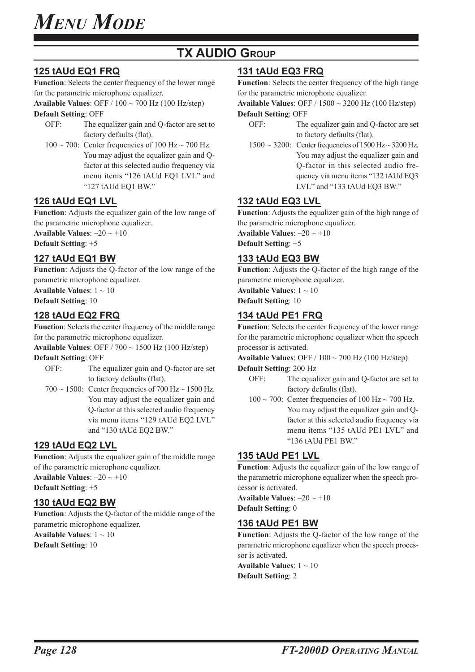### **TX AUDIO GROUP**

#### **125 tAUd EQ1 FRQ**

**Function**: Selects the center frequency of the lower range for the parametric microphone equalizer.

**Available Values**: OFF / 100 ~ 700 Hz (100 Hz/step)

**Default Setting**: OFF

- OFF: The equalizer gain and Q-factor are set to factory defaults (flat).
- $100 \sim 700$ : Center frequencies of  $100$  Hz $\sim 700$  Hz. You may adjust the equalizer gain and Qfactor at this selected audio frequency via menu items "126 tAUd EQ1 LVL" and "127 tAUd EQ1 BW."

#### **126 tAUd EQ1 LVL**

**Function**: Adjusts the equalizer gain of the low range of the parametric microphone equalizer.

**Available Values:**  $-20 \sim +10$ 

**Default Setting**: +5

#### **127 tAUd EQ1 BW**

**Function**: Adjusts the Q-factor of the low range of the parametric microphone equalizer.

**Available Values**: 1 ~ 10

**Default Setting**: 10

#### **128 tAUd EQ2 FRQ**

**Function**: Selects the center frequency of the middle range for the parametric microphone equalizer.

**Available Values**: OFF / 700 ~ 1500 Hz (100 Hz/step)

**Default Setting**: OFF

- OFF: The equalizer gain and Q-factor are set to factory defaults (flat).
- $700 \sim 1500$ : Center frequencies of  $700$  Hz $\sim 1500$  Hz. You may adjust the equalizer gain and Q-factor at this selected audio frequency via menu items "129 tAUd EQ2 LVL" and "130 tAUd EQ2 BW."

#### **129 tAUd EQ2 LVL**

**Function**: Adjusts the equalizer gain of the middle range of the parametric microphone equalizer. **Available Values**: –20 ~ +10

**Default Setting**: +5

#### **130 tAUd EQ2 BW**

**Function**: Adjusts the Q-factor of the middle range of the parametric microphone equalizer.

**Available Values**: 1 ~ 10 **Default Setting**: 10

### **131 tAUd EQ3 FRQ**

**Function**: Selects the center frequency of the high range for the parametric microphone equalizer.

**Available Values**: OFF / 1500 ~ 3200 Hz (100 Hz/step) **Default Setting**: OFF

- OFF: The equalizer gain and Q-factor are set to factory defaults (flat).
- $1500 \sim 3200$ : Center frequencies of  $1500$  Hz $\sim 3200$  Hz. You may adjust the equalizer gain and Q-factor in this selected audio frequency via menu items "132 tAUd EQ3 LVL" and "133 tAUd EQ3 BW."

#### **132 tAUd EQ3 LVL**

**Function**: Adjusts the equalizer gain of the high range of the parametric microphone equalizer. **Available Values:**  $-20 \sim +10$ 

**Default Setting**: +5

#### **133 tAUd EQ3 BW**

**Function**: Adjusts the Q-factor of the high range of the parametric microphone equalizer. **Available Values**: 1 ~ 10 **Default Setting**: 10

**134 tAUd PE1 FRQ**

## **Function**: Selects the center frequency of the lower range

for the parametric microphone equalizer when the speech processor is activated.

**Available Values**: OFF / 100 ~ 700 Hz (100 Hz/step)

#### **Default Setting**: 200 Hz

- OFF: The equalizer gain and Q-factor are set to factory defaults (flat).
- $100 \sim 700$ : Center frequencies of 100 Hz $\sim 700$  Hz. You may adjust the equalizer gain and Qfactor at this selected audio frequency via menu items "135 tAUd PE1 LVL" and "136 tAUd PE1 BW."

#### **135 tAUd PE1 LVL**

**Function**: Adjusts the equalizer gain of the low range of the parametric microphone equalizer when the speech processor is activated.

**Available Values**: –20 ~ +10 **Default Setting**: 0

#### **136 tAUd PE1 BW**

**Function**: Adjusts the Q-factor of the low range of the parametric microphone equalizer when the speech processor is activated.

**Available Values**: 1 ~ 10 **Default Setting**: 2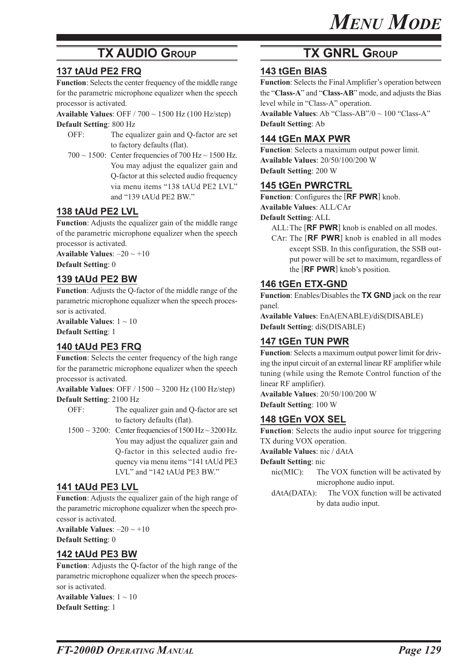### **TX AUDIO GROUP**

### **137 tAUd PE2 FRQ**

**Function**: Selects the center frequency of the middle range for the parametric microphone equalizer when the speech processor is activated.

**Available Values**: OFF / 700 ~ 1500 Hz (100 Hz/step) **Default Setting**: 800 Hz

- OFF: The equalizer gain and Q-factor are set to factory defaults (flat).
- 700  $\sim$  1500: Center frequencies of 700 Hz $\sim$  1500 Hz. You may adjust the equalizer gain and Q-factor at this selected audio frequency via menu items "138 tAUd PE2 LVL" and "139 tAUd PE2 BW."

#### **138 tAUd PE2 LVL**

**Function**: Adjusts the equalizer gain of the middle range of the parametric microphone equalizer when the speech processor is activated.

**Available Values:**  $-20 \sim +10$ **Default Setting**: 0

#### **139 tAUd PE2 BW**

**Function**: Adjusts the Q-factor of the middle range of the parametric microphone equalizer when the speech processor is activated.

**Available Values**: 1 ~ 10 **Default Setting**: 1

#### **140 tAUd PE3 FRQ**

**Function**: Selects the center frequency of the high range for the parametric microphone equalizer when the speech processor is activated.

**Available Values**: OFF / 1500 ~ 3200 Hz (100 Hz/step) **Default Setting**: 2100 Hz

OFF: The equalizer gain and Q-factor are set to factory defaults (flat).

 $1500 \sim 3200$ : Center frequencies of  $1500$  Hz $\sim 3200$  Hz. You may adjust the equalizer gain and Q-factor in this selected audio frequency via menu items "141 tAUd PE3 LVL" and "142 tAUd PE3 BW."

#### **141 tAUd PE3 LVL**

**Function**: Adjusts the equalizer gain of the high range of the parametric microphone equalizer when the speech processor is activated.

**Available Values**: –20 ~ +10 **Default Setting**: 0

#### **142 tAUd PE3 BW**

**Function**: Adjusts the Q-factor of the high range of the parametric microphone equalizer when the speech processor is activated.

**Available Values**: 1 ~ 10 **Default Setting**: 1

### **TX GNRL GROUP**

#### **143 tGEn BIAS**

**Function**: Selects the Final Amplifier's operation between the "**Class-A**" and "**Class-AB**" mode, and adjusts the Bias level while in "Class-A" operation.

**Available Values**: Ab "Class-AB"/0 ~ 100 "Class-A" **Default Setting**: Ab

#### **144 tGEn MAX PWR**

**Function**: Selects a maximum output power limit. **Available Values**: 20/50/100/200 W **Default Setting**: 200 W

#### **145 tGEn PWRCTRL**

**Function**: Configures the [**RF PWR**] knob.

**Available Values**: ALL/CAr

**Default Setting**: ALL

ALL:The [**RF PWR**] knob is enabled on all modes.

CAr: The [**RF PWR**] knob is enabled in all modes except SSB. In this configuration, the SSB output power will be set to maximum, regardless of the [**RF PWR**] knob's position.

#### **146 tGEn ETX-GND**

**Function**: Enables/Disables the **TX GND** jack on the rear panel.

**Available Values**: EnA(ENABLE)/diS(DISABLE) **Default Setting**: diS(DISABLE)

#### **147 tGEn TUN PWR**

**Function**: Selects a maximum output power limit for driving the input circuit of an external linear RF amplifier while tuning (while using the Remote Control function of the linear RF amplifier).

**Available Values**: 20/50/100/200 W **Default Setting**: 100 W

#### **148 tGEn VOX SEL**

**Function**: Selects the audio input source for triggering TX during VOX operation.

**Available Values**: nic / dAtA

**Default Setting**: nic

nic(MIC): The VOX function will be activated by microphone audio input.

dAtA(DATA): The VOX function will be activated by data audio input.